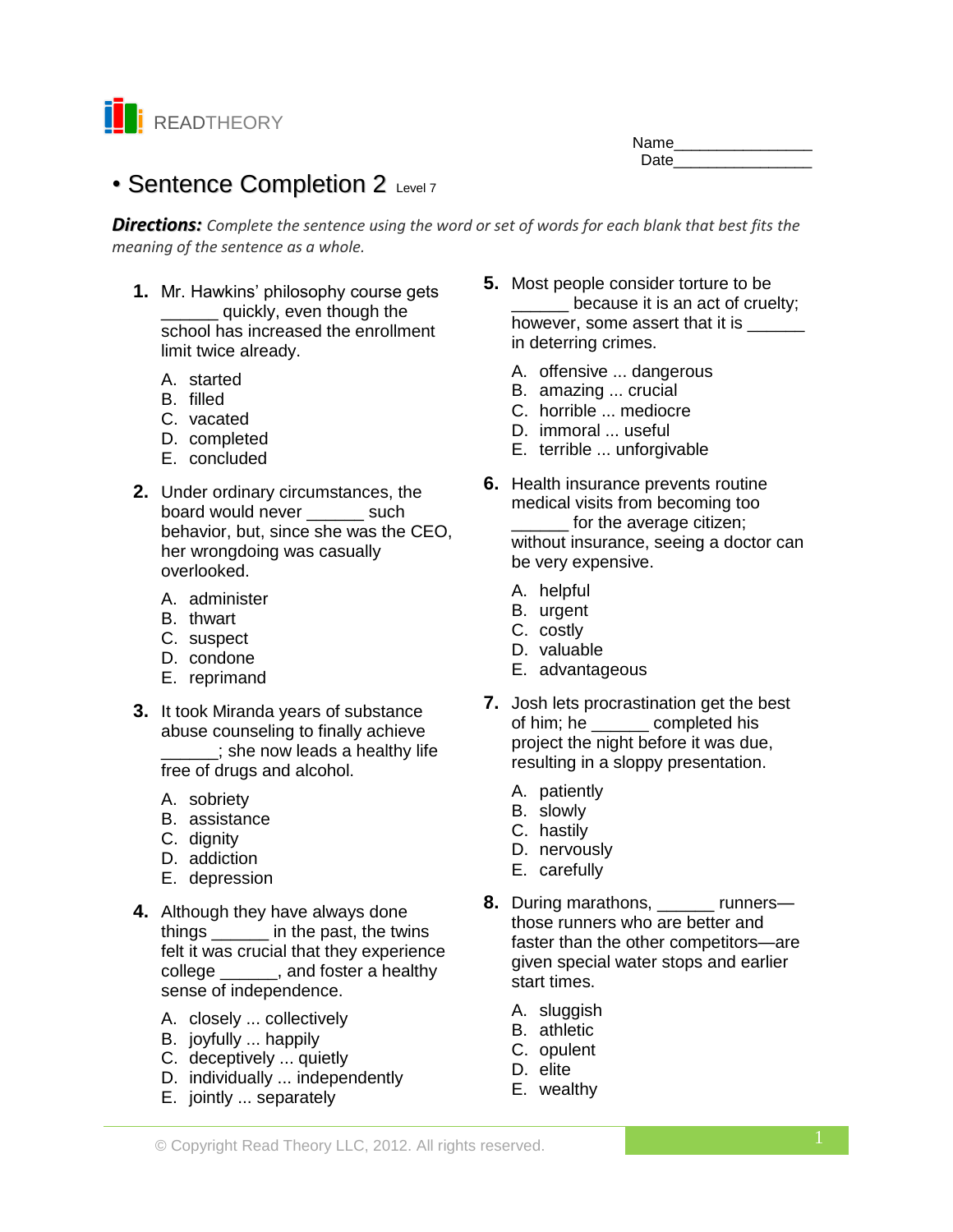

# Name\_\_\_\_\_\_\_\_\_\_\_\_\_\_\_\_ Date **Date**

# • Sentence Completion 2 Level 7

*Directions: Complete the sentence using the word or set of words for each blank that best fits the meaning of the sentence as a whole.*

- **1.** Mr. Hawkins' philosophy course gets \_\_\_\_\_\_ quickly, even though the school has increased the enrollment limit twice already.
	- A. started
	- B. filled
	- C. vacated
	- D. completed
	- E. concluded
- **2.** Under ordinary circumstances, the board would never \_\_\_\_\_\_ such behavior, but, since she was the CEO, her wrongdoing was casually overlooked.
	- A. administer
	- B. thwart
	- C. suspect
	- D. condone
	- E. reprimand
- **3.** It took Miranda years of substance abuse counseling to finally achieve she now leads a healthy life free of drugs and alcohol.
	- A. sobriety
	- B. assistance
	- C. dignity
	- D. addiction
	- E. depression
- **4.** Although they have always done things \_\_\_\_\_\_ in the past, the twins felt it was crucial that they experience college \_\_\_\_\_\_, and foster a healthy sense of independence.
	- A. closely ... collectively
	- B. joyfully ... happily
	- C. deceptively ... quietly
	- D. individually ... independently
	- E. jointly ... separately
- **5.** Most people consider torture to be because it is an act of cruelty; however, some assert that it is \_\_\_\_\_ in deterring crimes.
	- A. offensive ... dangerous
	- B. amazing ... crucial
	- C. horrible ... mediocre
	- D. immoral ... useful
	- E. terrible ... unforgivable
- **6.** Health insurance prevents routine medical visits from becoming too for the average citizen; without insurance, seeing a doctor can be very expensive.
	- A. helpful
	- B. urgent
	- C. costly
	- D. valuable
	- E. advantageous
- **7.** Josh lets procrastination get the best of him; he \_\_\_\_\_\_\_ completed his project the night before it was due, resulting in a sloppy presentation.
	- A. patiently
	- B. slowly
	- C. hastily
	- D. nervously
	- E. carefully
- **8.** During marathons, \_\_\_\_\_\_ runners those runners who are better and faster than the other competitors—are given special water stops and earlier start times.
	- A. sluggish
	- B. athletic
	- C. opulent
	- D. elite
	- E. wealthy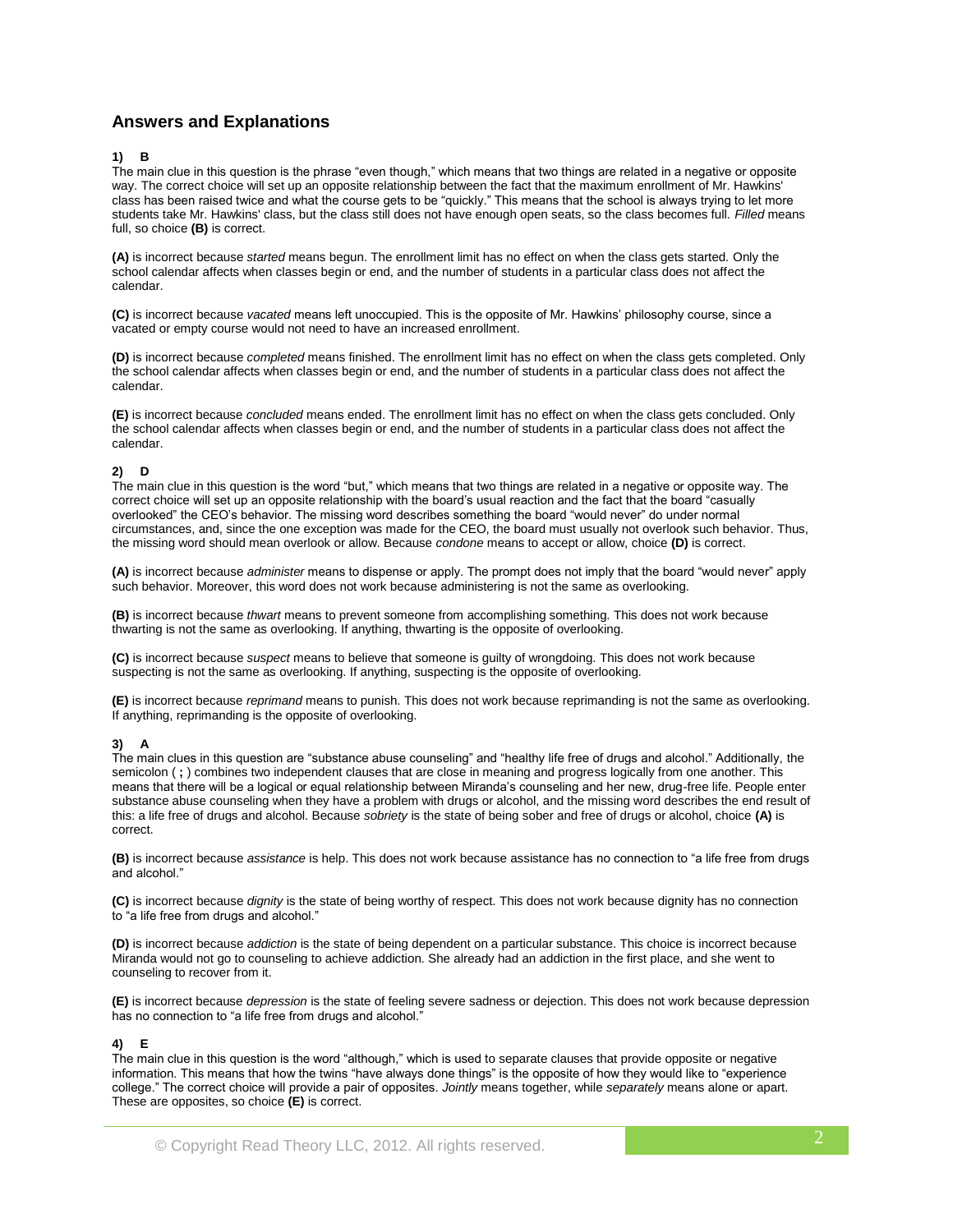# **Answers and Explanations**

# **1) B**

The main clue in this question is the phrase "even though," which means that two things are related in a negative or opposite way. The correct choice will set up an opposite relationship between the fact that the maximum enrollment of Mr. Hawkins' class has been raised twice and what the course gets to be "quickly." This means that the school is always trying to let more students take Mr. Hawkins' class, but the class still does not have enough open seats, so the class becomes full. *Filled* means full, so choice **(B)** is correct.

**(A)** is incorrect because *started* means begun. The enrollment limit has no effect on when the class gets started*.* Only the school calendar affects when classes begin or end, and the number of students in a particular class does not affect the calendar.

**(C)** is incorrect because *vacated* means left unoccupied. This is the opposite of Mr. Hawkins' philosophy course, since a vacated or empty course would not need to have an increased enrollment.

**(D)** is incorrect because *completed* means finished. The enrollment limit has no effect on when the class gets completed. Only the school calendar affects when classes begin or end, and the number of students in a particular class does not affect the calendar.

**(E)** is incorrect because *concluded* means ended. The enrollment limit has no effect on when the class gets concluded. Only the school calendar affects when classes begin or end, and the number of students in a particular class does not affect the calendar.

## **2) D**

The main clue in this question is the word "but," which means that two things are related in a negative or opposite way. The correct choice will set up an opposite relationship with the board's usual reaction and the fact that the board "casually overlooked" the CEO's behavior. The missing word describes something the board "would never" do under normal circumstances, and, since the one exception was made for the CEO, the board must usually not overlook such behavior. Thus, the missing word should mean overlook or allow. Because *condone* means to accept or allow, choice **(D)** is correct.

**(A)** is incorrect because *administer* means to dispense or apply. The prompt does not imply that the board "would never" apply such behavior. Moreover, this word does not work because administering is not the same as overlooking.

**(B)** is incorrect because *thwart* means to prevent someone from accomplishing something. This does not work because thwarting is not the same as overlooking. If anything, thwarting is the opposite of overlooking.

**(C)** is incorrect because *suspect* means to believe that someone is guilty of wrongdoing. This does not work because suspecting is not the same as overlooking. If anything, suspecting is the opposite of overlooking.

**(E)** is incorrect because *reprimand* means to punish. This does not work because reprimanding is not the same as overlooking. If anything, reprimanding is the opposite of overlooking.

## **3) A**

The main clues in this question are "substance abuse counseling" and "healthy life free of drugs and alcohol." Additionally, the semicolon ( **;** ) combines two independent clauses that are close in meaning and progress logically from one another. This means that there will be a logical or equal relationship between Miranda's counseling and her new, drug-free life. People enter substance abuse counseling when they have a problem with drugs or alcohol, and the missing word describes the end result of this: a life free of drugs and alcohol. Because *sobriety* is the state of being sober and free of drugs or alcohol, choice **(A)** is correct.

**(B)** is incorrect because *assistance* is help. This does not work because assistance has no connection to "a life free from drugs and alcohol."

**(C)** is incorrect because *dignity* is the state of being worthy of respect. This does not work because dignity has no connection to "a life free from drugs and alcohol."

**(D)** is incorrect because *addiction* is the state of being dependent on a particular substance. This choice is incorrect because Miranda would not go to counseling to achieve addiction. She already had an addiction in the first place, and she went to counseling to recover from it.

**(E)** is incorrect because *depression* is the state of feeling severe sadness or dejection. This does not work because depression has no connection to "a life free from drugs and alcohol."

## **4) E**

The main clue in this question is the word "although," which is used to separate clauses that provide opposite or negative information. This means that how the twins "have always done things" is the opposite of how they would like to "experience college." The correct choice will provide a pair of opposites. *Jointly* means together, while *separately* means alone or apart. These are opposites, so choice **(E)** is correct.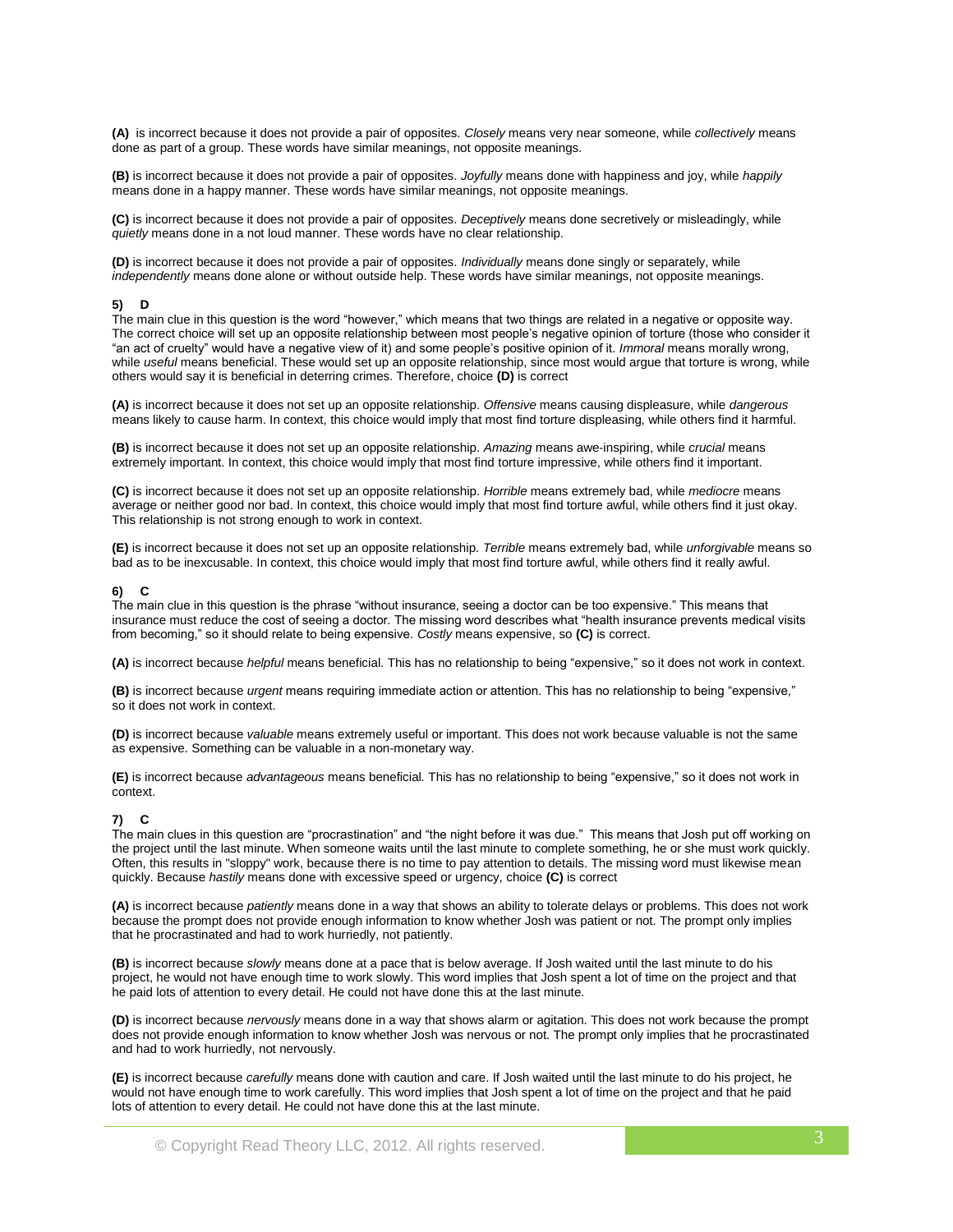**(A)** is incorrect because it does not provide a pair of opposites. *Closely* means very near someone, while *collectively* means done as part of a group. These words have similar meanings, not opposite meanings.

**(B)** is incorrect because it does not provide a pair of opposites. *Joyfully* means done with happiness and joy, while *happily*  means done in a happy manner. These words have similar meanings, not opposite meanings.

**(C)** is incorrect because it does not provide a pair of opposites. *Deceptively* means done secretively or misleadingly, while *quietly* means done in a not loud manner. These words have no clear relationship.

**(D)** is incorrect because it does not provide a pair of opposites. *Individually* means done singly or separately, while *independently* means done alone or without outside help. These words have similar meanings, not opposite meanings.

#### **5) D**

The main clue in this question is the word "however," which means that two things are related in a negative or opposite way. The correct choice will set up an opposite relationship between most people's negative opinion of torture (those who consider it "an act of cruelty" would have a negative view of it) and some people's positive opinion of it. *Immoral* means morally wrong, while *useful* means beneficial. These would set up an opposite relationship, since most would argue that torture is wrong, while others would say it is beneficial in deterring crimes. Therefore, choice **(D)** is correct

**(A)** is incorrect because it does not set up an opposite relationship. *Offensive* means causing displeasure, while *dangerous*  means likely to cause harm. In context, this choice would imply that most find torture displeasing, while others find it harmful.

**(B)** is incorrect because it does not set up an opposite relationship. *Amazing* means awe-inspiring, while *crucial* means extremely important. In context, this choice would imply that most find torture impressive, while others find it important.

**(C)** is incorrect because it does not set up an opposite relationship. *Horrible* means extremely bad, while *mediocre* means average or neither good nor bad. In context, this choice would imply that most find torture awful, while others find it just okay. This relationship is not strong enough to work in context.

**(E)** is incorrect because it does not set up an opposite relationship. *Terrible* means extremely bad, while *unforgivable* means so bad as to be inexcusable. In context, this choice would imply that most find torture awful, while others find it really awful.

#### **6) C**

The main clue in this question is the phrase "without insurance, seeing a doctor can be too expensive." This means that insurance must reduce the cost of seeing a doctor. The missing word describes what "health insurance prevents medical visits from becoming," so it should relate to being expensive. *Costly* means expensive, so **(C)** is correct.

**(A)** is incorrect because *helpful* means beneficial. This has no relationship to being "expensive," so it does not work in context.

**(B)** is incorrect because *urgent* means requiring immediate action or attention. This has no relationship to being "expensive," so it does not work in context.

**(D)** is incorrect because *valuable* means extremely useful or important. This does not work because valuable is not the same as expensive. Something can be valuable in a non-monetary way.

**(E)** is incorrect because *advantageous* means beneficial*.* This has no relationship to being "expensive," so it does not work in context.

#### **7) C**

The main clues in this question are "procrastination" and "the night before it was due." This means that Josh put off working on the project until the last minute. When someone waits until the last minute to complete something, he or she must work quickly. Often, this results in "sloppy" work, because there is no time to pay attention to details. The missing word must likewise mean quickly. Because *hastily* means done with excessive speed or urgency, choice **(C)** is correct

**(A)** is incorrect because *patiently* means done in a way that shows an ability to tolerate delays or problems. This does not work because the prompt does not provide enough information to know whether Josh was patient or not. The prompt only implies that he procrastinated and had to work hurriedly, not patiently.

**(B)** is incorrect because *slowly* means done at a pace that is below average. If Josh waited until the last minute to do his project, he would not have enough time to work slowly. This word implies that Josh spent a lot of time on the project and that he paid lots of attention to every detail. He could not have done this at the last minute.

**(D)** is incorrect because *nervously* means done in a way that shows alarm or agitation. This does not work because the prompt does not provide enough information to know whether Josh was nervous or not. The prompt only implies that he procrastinated and had to work hurriedly, not nervously.

**(E)** is incorrect because *carefully* means done with caution and care. If Josh waited until the last minute to do his project, he would not have enough time to work carefully. This word implies that Josh spent a lot of time on the project and that he paid lots of attention to every detail. He could not have done this at the last minute.